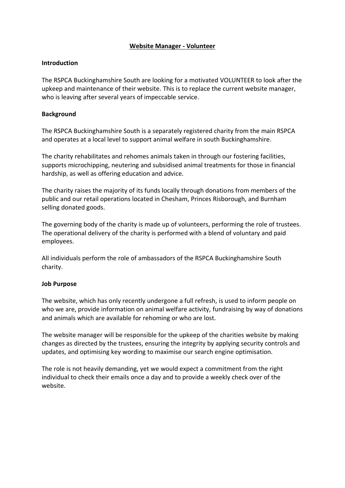## **Website Manager - Volunteer**

### **Introduction**

The RSPCA Buckinghamshire South are looking for a motivated VOLUNTEER to look after the upkeep and maintenance of their website. This is to replace the current website manager, who is leaving after several years of impeccable service.

## **Background**

The RSPCA Buckinghamshire South is a separately registered charity from the main RSPCA and operates at a local level to support animal welfare in south Buckinghamshire.

The charity rehabilitates and rehomes animals taken in through our fostering facilities, supports microchipping, neutering and subsidised animal treatments for those in financial hardship, as well as offering education and advice.

The charity raises the majority of its funds locally through donations from members of the public and our retail operations located in Chesham, Princes Risborough, and Burnham selling donated goods.

The governing body of the charity is made up of volunteers, performing the role of trustees. The operational delivery of the charity is performed with a blend of voluntary and paid employees.

All individuals perform the role of ambassadors of the RSPCA Buckinghamshire South charity.

#### **Job Purpose**

The website, which has only recently undergone a full refresh, is used to inform people on who we are, provide information on animal welfare activity, fundraising by way of donations and animals which are available for rehoming or who are lost.

The website manager will be responsible for the upkeep of the charities website by making changes as directed by the trustees, ensuring the integrity by applying security controls and updates, and optimising key wording to maximise our search engine optimisation.

The role is not heavily demanding, yet we would expect a commitment from the right individual to check their emails once a day and to provide a weekly check over of the website.